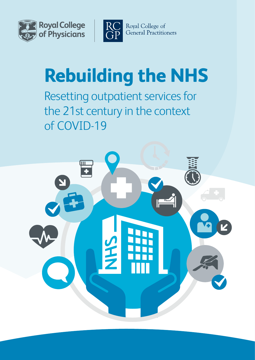



Royal College of General Practitioners

# **Rebuilding the NHS**

Resetting outpatient services for the 21st century in the context of COVID-19

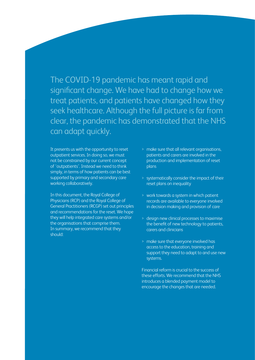The COVID-19 pandemic has meant rapid and significant change. We have had to change how we treat patients, and patients have changed how they seek healthcare. Although the full picture is far from clear, the pandemic has demonstrated that the NHS can adapt quickly.

It presents us with the opportunity to reset outpatient services. In doing so, we must not be constrained by our current concept of 'outpatients'. Instead we need to think simply, in terms of how patients can be best supported by primary and secondary care working collaboratively.

In this document, the Royal College of Physicians (RCP) and the Royal College of General Practitioners (RCGP) set out principles and recommendations for the reset. We hope they will help integrated care systems and/or the organisations that comprise them. In summary, we recommend that they should:

- > make sure that all relevant organisations, patients and carers are involved in the production and implementation of reset plans
- > systematically consider the impact of their reset plans on inequality
- > work towards a system in which patient records are available to everyone involved in decision making and provision of care
- > design new clinical processes to maximise the benefit of new technology to patients, carers and clinicians
- > make sure that everyone involved has access to the education, training and support they need to adapt to and use new systems.

Financial reform is crucial to the success of these efforts. We recommend that the NHS introduces a blended payment model to encourage the changes that are needed.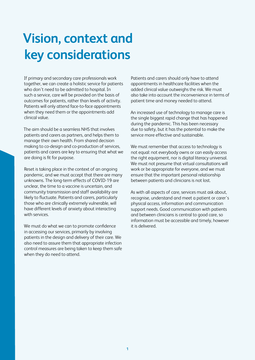# **Vision, context and key considerations**

If primary and secondary care professionals work together, we can create a holistic service for patients who don't need to be admitted to hospital. In such a service, care will be provided on the basis of outcomes for patients, rather than levels of activity. Patients will only attend face-to-face appointments when they need them or the appointments add clinical value.

The aim should be a seamless NHS that involves patients and carers as partners, and helps them to manage their own health. From shared decision making to co-design and co-production of services, patients and carers are key to ensuring that what we are doing is fit for purpose.

Reset is taking place in the context of an ongoing pandemic, and we must accept that there are many unknowns. The long-term effects of COVID-19 are unclear, the time to a vaccine is uncertain, and community transmission and staff availability are likely to fluctuate. Patients and carers, particularly those who are clinically extremely vulnerable, will have different levels of anxiety about interacting with services.

We must do what we can to promote confidence in accessing our services, primarily by involving patients in the design and delivery of their care. We also need to assure them that appropriate infection control measures are being taken to keep them safe when they do need to attend.

Patients and carers should only have to attend appointments in healthcare facilities when the added clinical value outweighs the risk. We must also take into account the inconvenience in terms of patient time and money needed to attend.

An increased use of technology to manage care is the single biggest rapid change that has happened during the pandemic. This has been necessary due to safety, but it has the potential to make the service more effective and sustainable.

We must remember that access to technology is not equal: not everybody owns or can easily access the right equipment, nor is digital literacy universal. We must not presume that virtual consultations will work or be appropriate for everyone, and we must ensure that the important personal relationship between patients and clinicians is not lost.

As with all aspects of care, services must ask about, recognise, understand and meet a patient or carer's physical access, information and communication support needs. Good communication with patients and between clinicians is central to good care, so information must be accessible and timely, however it is delivered.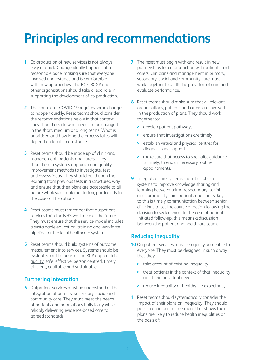### **Principles and recommendations**

- **1** Co-production of new services is not always easy or quick. Change ideally happens at a reasonable pace, making sure that everyone involved understands and is comfortable with new approaches. The RCP, RCGP and other organisations should take a lead role in supporting the development of co-production.
- **2** The context of COVID-19 requires some changes to happen quickly. Reset teams should consider the recommendations below in that context. They should decide what needs to be changed in the short, medium and long terms. What is prioritised and how long the process takes will depend on local circumstances.
- **3** Reset teams should be made up of clinicians, management, patients and carers. They should use a [systems approach](https://www.rcplondon.ac.uk/news/healthcare-professionals-and-engineers-partner-test-new-model) and quality improvement methods to investigate, test and assess ideas. They should build upon the learning from previous tests in a structured way and ensure that their plans are acceptable to all before wholesale implementation, particularly in the case of IT solutions.
- **4** Reset teams must remember that outpatient services train the NHS workforce of the future. They must ensure that the service model includes a sustainable education, training and workforce pipeline for the local healthcare system.
- **5** Reset teams should build systems of outcome measurement into services. Systems should be evaluated on the basis of [the RCP approach to](https://www.rcplondon.ac.uk/defining-rcp-s-approach-quality)  [quality:](https://www.rcplondon.ac.uk/defining-rcp-s-approach-quality) safe, effective, person centred, timely, efficient, equitable and sustainable.

#### **Furthering integration**

**6** Outpatient services must be understood as the integration of primary, secondary, social and community care. They must meet the needs of patients and populations holistically while reliably delivering evidence-based care to agreed standards.

- **7** The reset must begin with and result in new partnerships for co-production with patients and carers. Clinicians and management in primary, secondary, social and community care must work together to audit the provision of care and evaluate performance.
- **8** Reset teams should make sure that all relevant organisations, patients and carers are involved in the production of plans. They should work together to:
	- **>** develop patient pathways
	- **>** ensure that investigations are timely
	- **>** establish virtual and physical centres for diagnosis and support
	- **>** make sure that access to specialist guidance is timely, to end unnecessary routine appointments.
- **9** Integrated care systems should establish systems to improve knowledge sharing and learning between primary, secondary, social and community care, patients and carers. Key to this is timely communication between senior clinicians to set the course of action following the decision to seek advice. In the case of patientinitiated follow-up, this means a discussion between the patient and healthcare team.

#### **Reducing inequality**

- **10** Outpatient services must be equally accessible to everyone. They must be designed in such a way that they:
	- **>** take account of existing inequality
	- **>** treat patients in the context of that inequality and their individual needs
	- **>** reduce inequality of healthy life expectancy.
- **11** Reset teams should systematically consider the impact of their plans on inequality. They should publish an impact assessment that shows their plans are likely to reduce health inequalities on the basis of: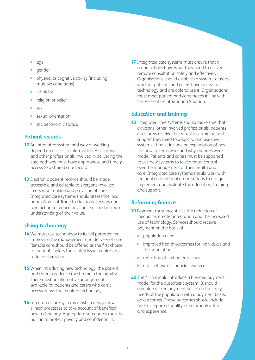- **>** age
- **>** gender
- **>** physical or cognitive ability (including multiple conditions)
- **>** ethnicity
- **>** religion or belief
- **>** sex
- **>** sexual orientation
- **>** socioeconomic status.

#### **Patient records**

- **12** An integrated system and way of working depend on access to information. All clinicians and other professionals involved in delivering the care pathway must have appropriate and timel**y**  access to a shared care record.
- **13** Electronic patient records should be made accessible and editable to everyone involved in decision making and provision of care. Integrated care systems should assess the local population's attitude to electronic records and take action to reduce any concerns and increase understanding of their value.

#### **Using technology**

- **14** We must use technology to its full potential for improving the management and delivery of care. Remote care should be offered as the first choice for patients unless the clinical issue requires faceto-face interaction.
- **15** When introducing new technology, the patient and carer experience must remain the priority. There must be alternative arrangements available for patients and carers who can't access or use the required technology.
- **16** Integrated care systems must co-design new clinical processes to take account of beneficial new technology. Appropriate safeguards must be built in to protect privacy and confidentiality.

**17** Integrated care systems must ensure that all organisations have what they need to deliver remote consultation safely and effectively. Organisations should establish a system to assess whether patients and carers have access to technology and are able to use it. Organisations must meet patient and carer needs in line with the Accessible Information Standard.

#### **Education and training**

**18** Integrated care systems should make sure that clinicians, other involved professionals, patients and carers receive the education, training and support they need to adapt to and use new systems. It must include an explanation of how the new systems work and why changes were made. Patients and carers must be supported to use new systems to take greater control over the management of their health and care. Integrated care systems should work with regional and national organisations to design, implement and evaluate the education, training and support.

#### **Reforming finance**

- **19** Payment must incentivise the reduction of inequality, greater integration and the increased use of technology. Services should receive payment on the basis of:
	- **>** population need
	- **>** improved health outcomes for individuals and the population
	- **>** reduction of carbon emissions
	- **>** efficient use of financial resources.
- **20** The NHS should introduce a blended payment model for the outpatient system. It should combine a fixed payment based on the likely needs of the population with a payment based on outcomes. Those outcomes should include patient-reported quality of communication and experience**.**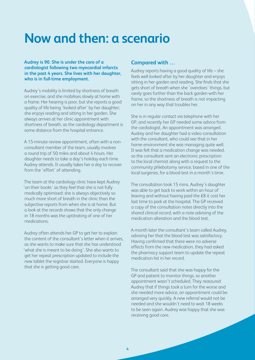### **Now and then: a scenario**

**Audrey is 90. She is under the care of a cardiologist following two myocardial infarcts in the past 4 years. She lives with her daughter, who is in full-time employment.**

Audrey's mobility is limited by shortness of breath on exercise, and she mobilises slowly at home with a frame. Her hearing is poor, but she reports a good quality of life being 'looked after' by her daughter; she enjoys reading and sitting in her garden. She always arrives at her clinic appointment with shortness of breath, as the cardiology department is some distance from the hospital entrance.

A 15-minute review appointment, often with a nonconsultant member of the team, usually involves a round trip of 50 miles and about 4 hours. Her daughter needs to take a day's holiday each time Audrey attends. It usually takes her a day to recover from the 'effort' of attending.

The team at the cardiology clinic have kept Audrey 'on their books' as they feel that she is not fully medically optimised: she is always objectively so much more short of breath in the clinic than the subjective reports from when she is at home. But a look at the records shows that the only change in 18 months was the uptitrating of one of her medications.

Audrey often attends her GP to get her to explain the content of the consultant's letter when it arrives, as she wants to make sure that she has understood 'what she is meant to be doing'. She also wants to get her repeat prescription updated to include the new tablet the registrar started. Everyone is happy that she is getting good care.

#### **Compared with …**

Audrey reports having a good quality of life – she feels well looked after by her daughter and enjoys sitting in her garden and reading. She finds that she gets short of breath when she 'overdoes' things, but rarely goes further than the back garden with her frame, so the shortness of breath is not impacting on her in any way that troubles her.

She is in regular contact via telephone with her GP, and recently her GP needed some advice from the cardiologist. An appointment was arranged. Audrey and her daughter had a video consultation with the consultant, who could see that in her home environment she was managing quite well. It was felt that a medication change was needed, so the consultant sent an electronic prescription to the local chemist along with a request to the community phlebotomy service, based in one of the local surgeries, for a blood test in a month's time.

The consultation took 15 mins. Audrey's daughter was able to get back to work within an hour of leaving and without having paid the £8 it cost her last time to park at the hospital. The GP received a copy of the consultation notes directly into the shared clinical record, with a note advising of the medication alteration and the blood test.

A month later the consultant's team called Audrey, advising her that the blood test was satisfactory. Having confirmed that there were no adverse effects from the new medication, they had asked the pharmacy support team to update the repeat medication list in her record.

The consultant said that she was happy for the GP and patient to monitor things, so another appointment wasn't scheduled. They reassured Audrey that if things took a turn for the worse and she needed more advice, an appointment could be arranged very quickly. A new referral would not be needed and she wouldn't need to wait 18 weeks to be seen again. Audrey was happy that she was receiving good care.